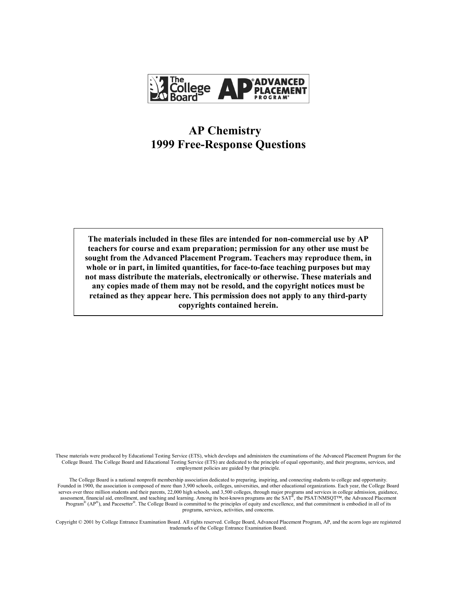

# **AP Chemistry 1999 Free-Response Questions**

**The materials included in these files are intended for non-commercial use by AP teachers for course and exam preparation; permission for any other use must be sought from the Advanced Placement Program. Teachers may reproduce them, in whole or in part, in limited quantities, for face-to-face teaching purposes but may not mass distribute the materials, electronically or otherwise. These materials and any copies made of them may not be resold, and the copyright notices must be retained as they appear here. This permission does not apply to any third-party copyrights contained herein.** 

These materials were produced by Educational Testing Service (ETS), which develops and administers the examinations of the Advanced Placement Program for the College Board. The College Board and Educational Testing Service (ETS) are dedicated to the principle of equal opportunity, and their programs, services, and employment policies are guided by that principle.

The College Board is a national nonprofit membership association dedicated to preparing, inspiring, and connecting students to college and opportunity. Founded in 1900, the association is composed of more than 3,900 schools, colleges, universities, and other educational organizations. Each year, the College Board serves over three million students and their parents, 22,000 high schools, and 3,500 colleges, through major programs and services in college admission, guidance, assessment, financial aid, enrollment, and teaching and learning. Among its best-known programs are the SAT®, the PSAT/NMSQT™, the Advanced Placement Program®  $(AP^{\circledast})$ , and Pacesetter<sup>®</sup>. The College Board is committed to the principles of equity and excellence, and that commitment is embodied in all of its programs, services, activities, and concerns.

Copyright © 2001 by College Entrance Examination Board. All rights reserved. College Board, Advanced Placement Program, AP, and the acorn logo are registered trademarks of the College Entrance Examination Board.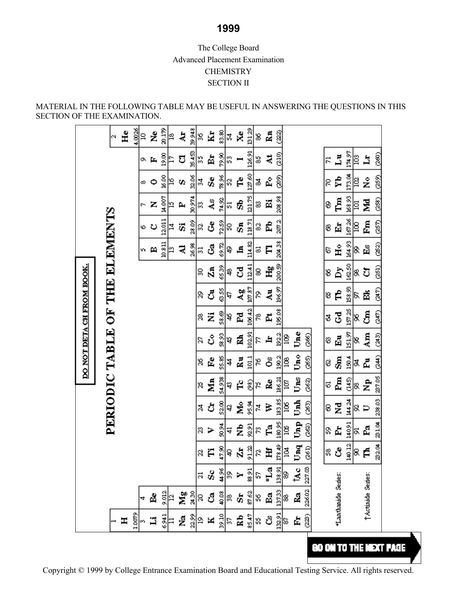# The College Board Advanced Placement Examination **CHEMISTRY** SECTION II

MATERIAL IN THE FOLLOWING TABLE MAY BE USEFUL IN ANSWERING THE QUESTIONS IN THIS SECTION OF THE EXAMINATION.

|                           | Ğ,                             | $H_{\rm e}$ | 4,0026 | 9  | ż            | 20.179 | g  | ą  | 39.948       | 18                          | Ń, | 83.80          | ¦∡¦  | $\lambda^2$    | 13129    | 8  | Rn.       | I      |    |      |        |    |                     |             |       |                        |           |
|---------------------------|--------------------------------|-------------|--------|----|--------------|--------|----|----|--------------|-----------------------------|----|----------------|------|----------------|----------|----|-----------|--------|----|------|--------|----|---------------------|-------------|-------|------------------------|-----------|
|                           |                                |             |        | o. | 厍            | 19.00  | 다  | ರ  |              | $rac{2}{3}$                 | 별  | R<br>R         | S    |                | 126.91   | s  | ä,        | 210)   |    |      |        | 51 | $\vec{\mathbf{z}}$  | 174.97      | ê     | 덕                      | @<br>ම    |
|                           |                                |             |        | ω  | $\circ$      | 16.00  | 2  | 92 | 32.06        | ∥ऊ                          | å, | 78.96          | 8    | Ê              | 127.60   | F  | å,        | ရွိ    |    |      |        | g  | Ŷb,                 | 173.04      | 1≌    | å                      | <b>@S</b> |
|                           |                                |             |        | r  | z            | 14.007 | 19 | P, |              | ន្ត្ <mark>នី</mark> ន      | ું | 74.92          | ಜ    | කි             | 121.75   | 33 | Ä         | 208,98 |    |      |        | 8  | Ã                   | 168,93      | 厚     | 뎧                      | @<br>ම    |
|                           | PERIODIC TABLE OF THE ELEMENTS |             |        | ю  | رح           | 12.011 | ₫  | ö, |              | ရွို့<br>ရွိ                | ර් |                | ရွိေ | S,             | 118.71   | ప  | Ê         | 2072   |    |      |        | 8  | Ė                   | 167.26      | 13    | Å                      | (25T)     |
|                           |                                |             |        | 5  | $\mathbf{p}$ | 10.811 | ¦ఇ | ₹  |              | $\frac{8}{8}$ $\frac{1}{2}$ | ්  | 69.TL          | န္   | ᄇ              | 114.82   | ವ  | E         | 204.38 |    |      |        | 6  | £                   | 164.93      | &     | 舀                      | ශී        |
|                           |                                |             |        |    |              |        |    |    |              | g                           | ā  | 6539           | ₽    | చె             | 112.41   | 8  | £         | 200.S  |    |      |        | 8  | Å                   | 162.50      | 8     | ΰ                      | 251)      |
| DO NOT DETA CH FROM BOOK. |                                |             |        |    |              |        |    |    |              | 8                           | రే | 635            | a    | $\frac{50}{2}$ | 107.87   | g  | 長         | 196.97 |    |      |        | 8  | Ê                   | 158,93      | δ.    | 圅                      | ್<br>ತ    |
|                           |                                |             |        |    |              |        |    |    |              | 8                           | Ż  | S8.69          | ą    | 집              | 106.42   | g  | Ë,        | 195.08 |    |      |        | ₫  | टु                  | 157.25      | 8     | రీ                     | E         |
|                           |                                |             |        |    |              |        |    |    |              | g                           | ပိ | S8<br>88       | ą    | 톃              | 102.91   | z  | H,        | 1922   | 18 | Ůme  | 3      | 8  | 囩                   | 151,97      | 18.   | $\mathop{\mathrm{Im}}$ | ිදී       |
|                           |                                |             |        |    |              |        |    |    |              | g                           | Ê, | \$\$.88        | 4    | Ā              | ā        | 8  | రీ        | 1902   | ğ  | Ůme  | ඥ      | 8  | ෂි                  | $\tilde{8}$ | ¤ದ    |                        | (24)      |
|                           |                                |             |        |    |              |        |    |    |              | 8                           | Ź  | 54,938         | a    | Ê              | နွ       | 8  | å,        | 186.21 | g  | Uns  | QSZ    | 5  | Ēπ                  |             | ફ¦જ્ઞ | £,                     | 237.05    |
|                           |                                |             |        |    |              |        |    |    |              | నే                          | ð  | 52.00          | ą    | Ž              | डू<br>इ  | 콙  | Þ         | 183.85 | 18 | Und. | (265)  | 8  | Z                   | 144.24      | ≋ ⊃   |                        | 238.03    |
|                           |                                |             |        |    |              |        |    |    |              | g                           | ⋗  | <b>R</b><br>80 | 4    | ż              | 92.91    | g  | Ę.        | 180,95 | g  | Unp  | ඹූ     | S, | Ė,                  | 14091       | ¤ ಷೆ  |                        | 231.04    |
|                           |                                |             |        |    |              |        |    |    |              | S)                          | Ë  |                | 흵    | Ń,             | <u>웨</u> | 8  | Ë         | 178.49 | 图  | Unq  | 3      | g  | ර්                  | 40.12       | ೩     | É                      | 232.04    |
|                           |                                |             |        |    |              |        |    |    |              | 21                          | s, | 44,96          | ø,   | Y              | 33, 31   | S, | $\pm L_a$ | 138,91 | 8  | ta.c | 227.08 |    |                     |             |       |                        |           |
|                           |                                |             |        | 4  | å,           | 9.012  | 2  | Ng | <b>06 28</b> | g                           | ්  | 40.08          | 8    | ö,             | 87.62    | 8  | å         | 13733  | 38 | Ŀ.   | 226.02 |    | "Lanthanide Series: |             |       | TActinide Series:      |           |
|                           |                                | H           | 1.0079 | 8  | ョ            | 6,941  | ።  | ż  | 22.99        | ₽                           | ×  | <b>SK62</b>    | S,   | Ê              | 85.47    | s  | తి        | 132,91 | 5  | 虛    | 22)    |    |                     |             |       |                        |           |

Copyright © 1999 by College Entrance Examination Board and Educational Testing Service. All rights reserved.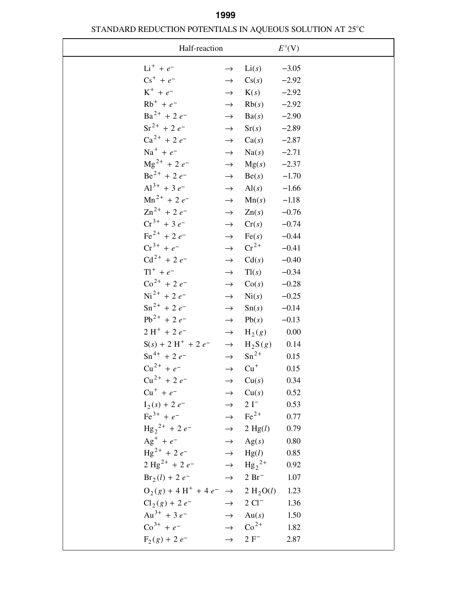# STANDARD REDUCTION POTENTIALS IN AQUEOUS SOLUTION AT 25°C **1999**

| Half-reaction                                                 |               |                    | $E^{\circ}$ (V) |
|---------------------------------------------------------------|---------------|--------------------|-----------------|
| $Li^+ + e^-$                                                  | $\rightarrow$ | Li(s)              | $-3.05$         |
| $\text{Cs}^+ + e^-$                                           | $\rightarrow$ | Cs(s)              | $-2.92$         |
| $K^+ + e^-$                                                   | $\rightarrow$ | K(s)               | $-2.92$         |
| $Rb^{+} + e^{-}$                                              | $\rightarrow$ | Rb(s)              | $-2.92$         |
| $Ba^{2+} + 2e^{-}$                                            | $\rightarrow$ | Ba(s)              | $-2.90$         |
| $Sr^{2+}$ + 2 $e^-$                                           | $\rightarrow$ | Sr(s)              | $-2.89$         |
| $Ca^{2+} + 2e^{-}$                                            | $\rightarrow$ | Ca(s)              | $-2.87$         |
| $\mathrm{Na}^+ + e^-$                                         | $\rightarrow$ | Na(s)              | $-2.71$         |
| $\text{Mg}^{2+}$ + 2 e <sup>-</sup>                           | $\rightarrow$ | Mg(s)              | $-2.37$         |
| $Be^{2+}$ + 2 $e^{-}$                                         | $\rightarrow$ | Be(s)              | $-1.70$         |
| $Al^{3+}$ + 3 $e^-$                                           | $\rightarrow$ | $\text{Al}(s)$     | $-1.66$         |
| $Mn^{2+}$ + 2 $e^-$                                           | $\rightarrow$ | Mn(s)              | $-1.18$         |
| $\text{Zn}^{2+}$ + 2 $e^-$                                    | $\rightarrow$ | Zn(s)              | $-0.76$         |
| $Cr^{3+} + 3e^{-}$                                            | $\rightarrow$ | Cr(s)              | $-0.74$         |
| $\text{Fe}^{2+}$ + 2 $e^{-}$                                  | $\rightarrow$ | Fe(s)              | $-0.44$         |
| $Cr^{3+} + e^{-}$                                             | $\rightarrow$ | $\mathrm{Cr}^{2+}$ | $-0.41$         |
| $Cd^{2+} + 2e^{-}$                                            | $\rightarrow$ | Cd(s)              | $-0.40$         |
| $T1^{+} + e^{-}$                                              | $\rightarrow$ | Tl(s)              | $-0.34$         |
| $\text{Co}^{2+}$ + 2 $e^{-}$                                  | $\rightarrow$ | Co(s)              | $-0.28$         |
| $\mathrm{Ni}^{2+}$ + 2 $e^{-}$                                | $\rightarrow$ | $\mathrm{Ni}(s)$   | $-0.25$         |
| $\text{Sn}^{2+}$ + 2 $e^{-}$                                  | $\rightarrow$ | $\text{Sn}(s)$     | $-0.14$         |
| $Pb^{2+} + 2e^{-}$                                            | $\rightarrow$ | Pb(s)              | $-0.13$         |
| $2H^{+} + 2e^{-}$                                             | $\rightarrow$ | $H_2(g)$           | 0.00            |
| $S(s) + 2 H^{+} + 2 e^{-} \rightarrow H_{2}S(g)$              |               |                    | 0.14            |
| $\text{Sn}^{4+}$ + 2 e <sup>-</sup>                           | $\rightarrow$ | $Sn^{2+}$          | 0.15            |
| $Cu^{2+} + e^{-}$                                             | $\rightarrow$ | $Cu+$              | 0.15            |
| $Cu^{2+} + 2e^ \rightarrow$ $Cu(s)$                           |               |                    | 0.34            |
| $Cu^+ + e^ \rightarrow$ $Cu(s)$                               |               |                    | 0.52            |
| $I_2(s) + 2 e^ \rightarrow$ 2 I <sup>-</sup>                  |               |                    | 0.53            |
| $\text{Fe}^{3+} + e^ \rightarrow \text{Fe}^{2+}$              |               |                    | 0.77            |
| $\text{Hg}_2{}^{2+}$ + 2 $e^ \rightarrow$ 2 Hg(l)             |               |                    | 0.79            |
| $Ag^+ + e^ \rightarrow$ $Ag(s)$                               |               |                    | 0.80            |
| $\text{Hg}^{2+} + 2e^ \rightarrow$ $\text{Hg}(l)$             |               |                    | 0.85            |
| $2 \text{ Hg}^{2+} + 2 e^{-}$ $\rightarrow \text{ Hg}_2^{2+}$ |               |                    | 0.92            |
| $Br_2(l) + 2e^ \rightarrow$ 2 Br <sup>-</sup>                 |               |                    | 1.07            |
| $O_2(g) + 4 H^+ + 4 e^- \rightarrow 2 H_2 O(l)$               |               |                    | 1.23            |
| $Cl_2(g) + 2e^ \rightarrow$ 2 $Cl^-$                          |               |                    | 1.36            |
| $Au^{3+} + 3e^{-}$ $\rightarrow$ Au(s)                        |               |                    | 1.50            |
| $\text{Co}^{3+} + e^ \rightarrow \text{Co}^{2+}$              |               |                    | 1.82            |
| $F_2(g) + 2e^ \rightarrow$ $2F^-$                             |               |                    | 2.87            |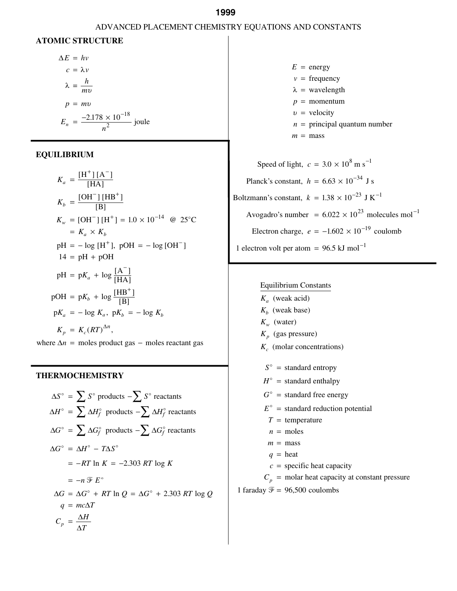## ADVANCED PLACEMENT CHEMISTRY EQUATIONS AND CONSTANTS

#### **ATOMIC STRUCTURE**

$$
\Delta E = hv
$$
  
\n
$$
c = \lambda v
$$
  
\n
$$
\lambda = \frac{h}{mv}
$$
  
\n
$$
p = mv
$$
  
\n
$$
E_n = \frac{-2.178 \times 10^{-18}}{n^2} \text{ joule}
$$

#### **EQUILIBRIUM**

$$
K_a = \frac{[H^+][A^-]}{[HA]}
$$
  
\n
$$
K_b = \frac{[OH^-][HB^+]}{[B]}
$$
  
\n
$$
K_w = [OH^-][H^+] = 1.0 \times 10^{-14} \text{ @ } 25^{\circ}\text{C}
$$
  
\n
$$
= K_a \times K_b
$$
  
\n
$$
pH = -\log [H^+], \text{ pOH} = -\log [OH^-]
$$
  
\n
$$
14 = pH + pOH
$$
  
\n
$$
pH = pK_a + \log \frac{[A^-]}{[HA]}
$$
  
\n
$$
pOH = pK_b + \log \frac{[HB^+]}{[B]}
$$
  
\n
$$
pK_a = -\log K_a, \text{ pK}_b = -\log K_b
$$
  
\n
$$
K_p = K_c (RT)^{\Delta n},
$$

where  $\Delta n$  = moles product gas – moles reactant gas

### **THERMOCHEMISTRY**

$$
\Delta S^{\circ} = \sum S^{\circ} \text{ products } - \sum S^{\circ} \text{ reactants}
$$
  
\n
$$
\Delta H^{\circ} = \sum \Delta H_f^{\circ} \text{ products } - \sum \Delta H_f^{\circ} \text{ reactants}
$$
  
\n
$$
\Delta G^{\circ} = \sum \Delta G_f^{\circ} \text{ products } - \sum \Delta G_f^{\circ} \text{ reactants}
$$
  
\n
$$
\Delta G^{\circ} = \Delta H^{\circ} - T \Delta S^{\circ}
$$
  
\n
$$
= -RT \ln K = -2.303 RT \log K
$$
  
\n
$$
= -n \mathcal{F} E^{\circ}
$$
  
\n
$$
\Delta G = \Delta G^{\circ} + RT \ln Q = \Delta G^{\circ} + 2.303 RT \log Q
$$
  
\n
$$
q = mc\Delta T
$$
  
\n
$$
C_p = \frac{\Delta H}{\Delta T}
$$

 $E =$  energy  $v = \text{frequency}$  $p =$  momentum *n* = principal quantum number  $m = \text{mass}$  $\lambda$  = wavelength  $v =$  velocity

Speed of light,  $c = 3.0 \times 10^8$  m s<sup>-1</sup> Planck's constant,  $h = 6.63 \times 10^{-34}$  J s Boltzmann's constant,  $k = 1.38 \times 10^{-23} \text{ J K}^{-1}$ Avogadro's number =  $6.022 \times 10^{23}$  molecules mol<sup>-1</sup> Electron charge,  $e = -1.602 \times 10^{-19}$  coulomb 1 electron volt per atom =  $96.5$  kJ mol<sup>-1</sup>

#### Equilibrium Constants

(weak acid) *K a*  $K_b$  (weak base)  $K_w$  (water) (gas pressure) *K p* (molar concentrations) *K c*  $S^{\circ}$  = standard entropy  $H^{\circ}$  = standard enthalpy  $G^{\circ}$  = standard free energy  $E^{\circ}$  = standard reduction potential  $T =$  temperature  $n =$  moles  $m = \text{mass}$  $q =$  heat  $c =$  specific heat capacity  $C_p$  = molar heat capacity at constant pressure

1 faraday  $\mathcal{F} = 96,500$  coulombs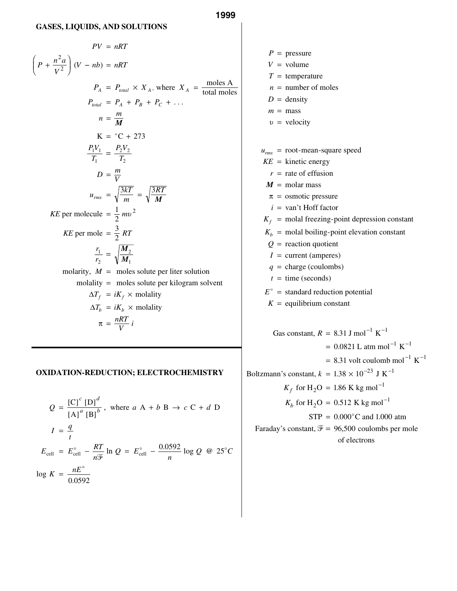#### **GASES, LIQUIDS, AND SOLUTIONS**

$$
PV = nRT
$$
\n
$$
\left(P + \frac{n^2 a}{V^2}\right)(V - nb) = nRT
$$
\n
$$
P_A = P_{total} \times X_A, \text{ where } X_A = \frac{\text{moles A}}{\text{total moles}}
$$
\n
$$
P_{total} = P_A + P_B + P_C + \dots
$$
\n
$$
n = \frac{m}{M}
$$
\n
$$
K = {}^{\circ}C + 273
$$
\n
$$
\frac{P_1 V_1}{T_1} = \frac{P_2 V_2}{T_2}
$$
\n
$$
D = \frac{m}{V}
$$
\n
$$
u_{rms} = \sqrt{\frac{3kT}{m}} = \sqrt{\frac{3RT}{M}}
$$
\n
$$
KE \text{ per molecule } = \frac{1}{2} m v^2
$$
\n
$$
KE \text{ per mole} = \frac{3}{2} RT
$$
\n
$$
\frac{r_1}{r_2} = \sqrt{\frac{M_2}{M_1}}
$$
\n
$$
\text{molarity}, \ M = \text{moles solute per liter solution}
$$
\n
$$
\text{molarity} = \text{moles solute per kilogram solvent}
$$
\n
$$
\Delta T_f = iK_f \times \text{molality}
$$
\n
$$
\pi = \frac{nRT}{V} i
$$

#### **OXIDATION-REDUCTION; ELECTROCHEMISTRY**

$$
Q = \frac{[C]^c [D]^d}{[A]^a [B]^b}, \text{ where } a A + b B \rightarrow c C + d D
$$
  

$$
I = \frac{q}{t}
$$
  

$$
E_{cell} = E_{cell}^{\circ} - \frac{RT}{n\mathcal{F}} \ln Q = E_{cell}^{\circ} - \frac{0.0592}{n} \log Q \text{ @ } 25^{\circ}C
$$
  

$$
\log K = \frac{nE^{\circ}}{0.0592}
$$

 $P =$  pressure  $V =$  volume  $T =$  temperature *n* = number of moles  $D =$  density  $m = \text{mass}$  $v =$  velocity  $u_{rms}$  = root-mean-square speed  $KE =$  kinetic energy *r* = rate of effusion *i* = van't Hoff factor  $K_f$  = molal freezing-point depression constant  $K_b$  = molal boiling-point elevation constant *Q* = reaction quotient  $I =$  current (amperes) *q* = charge (coulombs)  $t =$  time (seconds)  $E^{\circ}$  = standard reduction potential  $K =$  equilibrium constant  $M = \text{molar mass}$  $\pi$  = osmotic pressure Gas constant,  $R = 8.31$  J mol<sup>-1</sup> K<sup>-1</sup>  $= 0.0821$  L atm mol<sup>-1</sup> K<sup>-1</sup>  $= 8.31$  volt coulomb mol<sup>-1</sup> K<sup>-1</sup> Boltzmann's constant,  $k = 1.38 \times 10^{-23}$  J K<sup>-1</sup>

 $K_f$  for H<sub>2</sub>O = 1.86 K kg mol<sup>-1</sup>  $K_b$  for H<sub>2</sub>O = 0.512 K kg mol<sup>-1</sup>  $STP = 0.000^{\circ}$ C and 1.000 atm Faraday's constant,  $\mathcal{F} = 96,500$  coulombs per mole of electrons

**1999**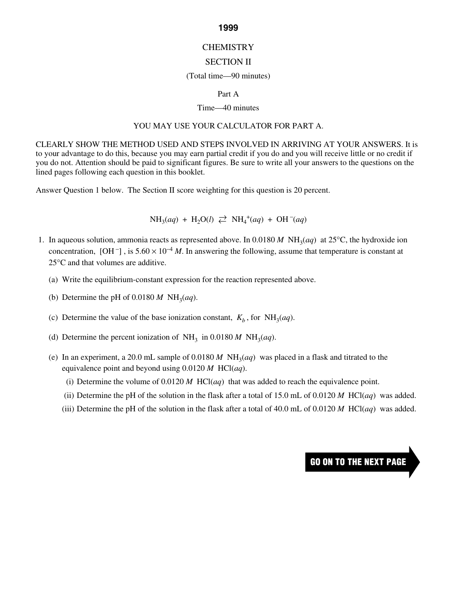# CHEMISTRY

# SECTION II

## (Total time—90 minutes)

### Part A

### Time—40 minutes

### YOU MAY USE YOUR CALCULATOR FOR PART A.

CLEARLY SHOW THE METHOD USED AND STEPS INVOLVED IN ARRIVING AT YOUR ANSWERS. It is to your advantage to do this, because you may earn partial credit if you do and you will receive little or no credit if you do not. Attention should be paid to significant figures. Be sure to write all your answers to the questions on the lined pages following each question in this booklet.

Answer Question 1 below. The Section II score weighting for this question is 20 percent.

 $NH_3(aq) + H_2O(l) \rightleftarrows NH_4^+(aq) + OH^-(aq)$ 

- 1. In aqueous solution, ammonia reacts as represented above. In 0.0180 M  $NH<sub>3</sub>(aq)$  at 25°C, the hydroxide ion concentration,  $[OH^-]$ , is  $5.60 \times 10^{-4}$  *M*. In answering the following, assume that temperature is constant at 25°C and that volumes are additive.
	- (a) Write the equilibrium-constant expression for the reaction represented above.
	- (b) Determine the pH of  $0.0180 M \text{ NH}_3(aq)$ .
	- (c) Determine the value of the base ionization constant,  $K_b$ , for NH<sub>3</sub>(*aq*).
	- (d) Determine the percent ionization of  $NH_3$  in 0.0180 *M*  $NH_3(aq)$ .
	- (e) In an experiment, a 20.0 mL sample of  $0.0180 M \text{ NH}_3(aq)$  was placed in a flask and titrated to the equivalence point and beyond using 0.0120 *M* HCl(*aq*).
		- (i) Determine the volume of 0.0120 *M* HCl(*aq*) that was added to reach the equivalence point.
		- (ii) Determine the pH of the solution in the flask after a total of 15.0 mL of 0.0120 *M* HCl(*aq*) was added.
		- (iii) Determine the pH of the solution in the flask after a total of 40.0 mL of 0.0120 M HCl( $aq$ ) was added.

# **GO ON TO THE NEXT PAGE**

#### **1999**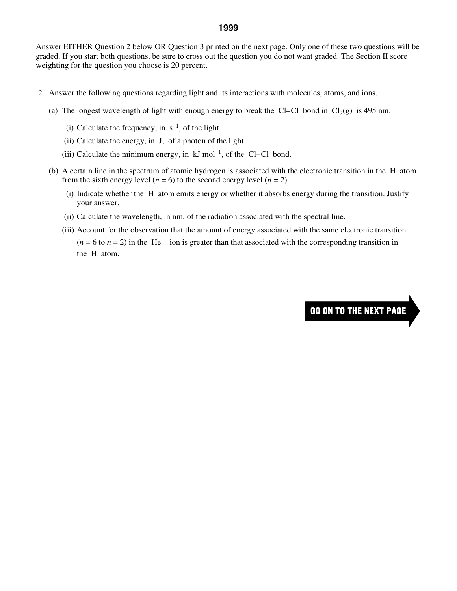Answer EITHER Question 2 below OR Question 3 printed on the next page. Only one of these two questions will be graded. If you start both questions, be sure to cross out the question you do not want graded. The Section II score weighting for the question you choose is 20 percent.

- 2. Answer the following questions regarding light and its interactions with molecules, atoms, and ions.
	- (a) The longest wavelength of light with enough energy to break the Cl–Cl bond in  $Cl<sub>2</sub>(g)$  is 495 nm.
		- (i) Calculate the frequency, in  $s^{-1}$ , of the light.
		- (ii) Calculate the energy, in J, of a photon of the light.
		- (iii) Calculate the minimum energy, in  $kJ$  mol<sup>-1</sup>, of the Cl–Cl bond.
	- (b) A certain line in the spectrum of atomic hydrogen is associated with the electronic transition in the H atom from the sixth energy level  $(n = 6)$  to the second energy level  $(n = 2)$ .
		- (i) Indicate whether the H atom emits energy or whether it absorbs energy during the transition. Justify your answer.
		- (ii) Calculate the wavelength, in nm, of the radiation associated with the spectral line.
		- (iii) Account for the observation that the amount of energy associated with the same electronic transition  $(n = 6$  to  $n = 2)$  in the He<sup>+</sup> ion is greater than that associated with the corresponding transition in the H atom.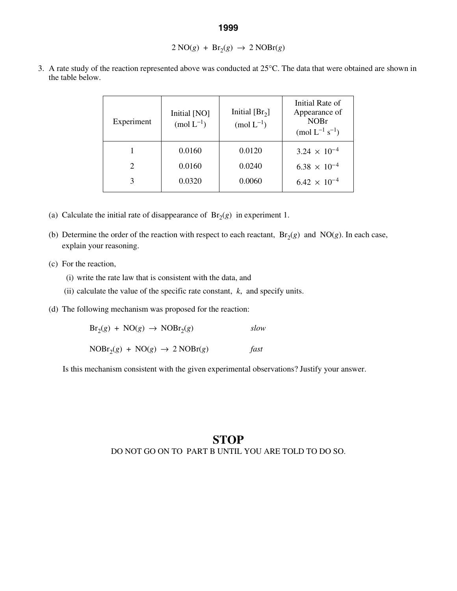## $2 \text{ NO}(g) + \text{Br}_2(g) \rightarrow 2 \text{ NOBr}(g)$

- Experiment Initial [NO]  $\text{(mol L}^{-1})$ Initial  $[Br_2]$  $\text{(mol L}^{-1})$ Initial Rate of Appearance of NOBr  $(mod L^{-1} s^{-1})$ 1 | 0.0160 | 0.0120 | 3.24  $\times$  10<sup>-4</sup> 2 0.0160 0.0240 6.38  $\times$  10<sup>-4</sup> 3 0.0320 0.0060 6.42  $\times$  10<sup>-4</sup>
- 3. A rate study of the reaction represented above was conducted at 25°C. The data that were obtained are shown in the table below.

- (a) Calculate the initial rate of disappearance of  $Br<sub>2</sub>(g)$  in experiment 1.
- (b) Determine the order of the reaction with respect to each reactant,  $Br<sub>2</sub>(g)$  and  $NO(g)$ . In each case, explain your reasoning.
- (c) For the reaction,
	- (i) write the rate law that is consistent with the data, and
	- (ii) calculate the value of the specific rate constant, *k*, and specify units.
- (d) The following mechanism was proposed for the reaction:

 $Br_2(g) + NO(g) \rightarrow NOBr_2(g)$  *slow* 

 $NOBr<sub>2</sub>(g) + NO(g) \rightarrow 2 NOBr(g)$  *fast* 

Is this mechanism consistent with the given experimental observations? Justify your answer.

# **STOP**  DO NOT GO ON TO PART B UNTIL YOU ARE TOLD TO DO SO.

#### **1999**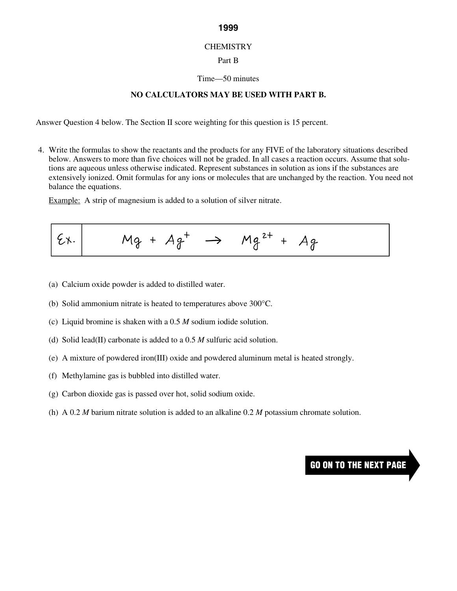#### **CHEMISTRY**

## Part B

#### Time—50 minutes

# **NO CALCULATORS MAY BE USED WITH PART B.**

Answer Question 4 below. The Section II score weighting for this question is 15 percent.

 4. Write the formulas to show the reactants and the products for any FIVE of the laboratory situations described below. Answers to more than five choices will not be graded. In all cases a reaction occurs. Assume that solutions are aqueous unless otherwise indicated. Represent substances in solution as ions if the substances are extensively ionized. Omit formulas for any ions or molecules that are unchanged by the reaction. You need not balance the equations.

Example: A strip of magnesium is added to a solution of silver nitrate.

$$
\left| \xi x \right| \qquad Mg + Ag^+ \rightarrow \qquad Mg^{2+} + Ag
$$

- (a) Calcium oxide powder is added to distilled water.
- (b) Solid ammonium nitrate is heated to temperatures above 300°C.
- (c) Liquid bromine is shaken with a 0.5 *M* sodium iodide solution.
- (d) Solid lead(II) carbonate is added to a 0.5 *M* sulfuric acid solution.
- (e) A mixture of powdered iron(III) oxide and powdered aluminum metal is heated strongly.
- (f) Methylamine gas is bubbled into distilled water.
- (g) Carbon dioxide gas is passed over hot, solid sodium oxide.
- (h) A 0.2 *M* barium nitrate solution is added to an alkaline 0.2 *M* potassium chromate solution.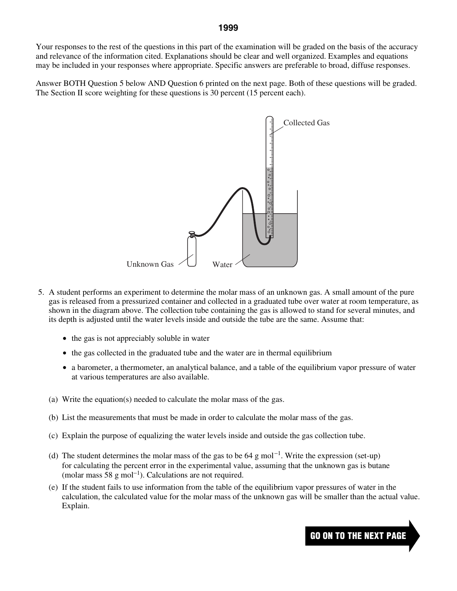Your responses to the rest of the questions in this part of the examination will be graded on the basis of the accuracy and relevance of the information cited. Explanations should be clear and well organized. Examples and equations may be included in your responses where appropriate. Specific answers are preferable to broad, diffuse responses.

Answer BOTH Question 5 below AND Question 6 printed on the next page. Both of these questions will be graded. The Section II score weighting for these questions is 30 percent (15 percent each).



- 5. A student performs an experiment to determine the molar mass of an unknown gas. A small amount of the pure gas is released from a pressurized container and collected in a graduated tube over water at room temperature, as shown in the diagram above. The collection tube containing the gas is allowed to stand for several minutes, and its depth is adjusted until the water levels inside and outside the tube are the same. Assume that:
	- the gas is not appreciably soluble in water
	- the gas collected in the graduated tube and the water are in thermal equilibrium
	- a barometer, a thermometer, an analytical balance, and a table of the equilibrium vapor pressure of water at various temperatures are also available.
	- (a) Write the equation(s) needed to calculate the molar mass of the gas.
	- (b) List the measurements that must be made in order to calculate the molar mass of the gas.
	- (c) Explain the purpose of equalizing the water levels inside and outside the gas collection tube.
	- (d) The student determines the molar mass of the gas to be 64 g mol<sup>-1</sup>. Write the expression (set-up) for calculating the percent error in the experimental value, assuming that the unknown gas is butane (molar mass  $58 \text{ g mol}^{-1}$ ). Calculations are not required.
	- (e) If the student fails to use information from the table of the equilibrium vapor pressures of water in the calculation, the calculated value for the molar mass of the unknown gas will be smaller than the actual value. Explain.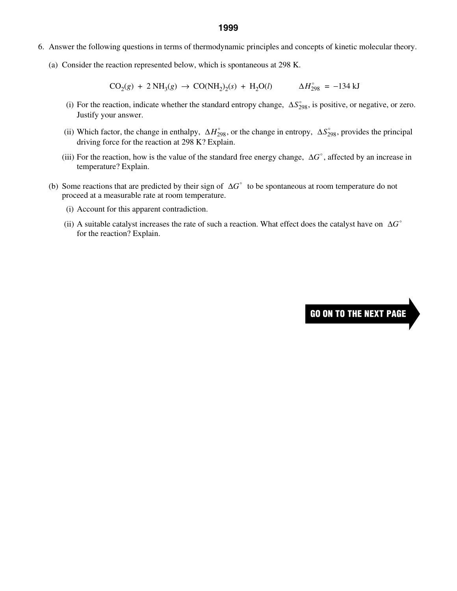- 6. Answer the following questions in terms of thermodynamic principles and concepts of kinetic molecular theory.
	- (a) Consider the reaction represented below, which is spontaneous at 298 K.

 $CO_2(g) + 2 NH_3(g) \rightarrow CO(NH_2)_2(s) + H_2O(l)$   $\Delta H_{298}^{\circ} = -134 \text{ kJ}$ 

- (i) For the reaction, indicate whether the standard entropy change,  $\Delta S_{298}^{\circ}$ , is positive, or negative, or zero. Justify your answer.
- (ii) Which factor, the change in enthalpy,  $\Delta H_{298}^{\circ}$ , or the change in entropy,  $\Delta S_{298}^{\circ}$ , provides the principal driving force for the reaction at 298 K? Explain.
- (iii) For the reaction, how is the value of the standard free energy change,  $\Delta G^{\circ}$ , affected by an increase in temperature? Explain.
- (b) Some reactions that are predicted by their sign of  $\Delta G^{\circ}$  to be spontaneous at room temperature do not proceed at a measurable rate at room temperature.
	- (i) Account for this apparent contradiction.
	- (ii) A suitable catalyst increases the rate of such a reaction. What effect does the catalyst have on  $\Delta G^{\circ}$ for the reaction? Explain.